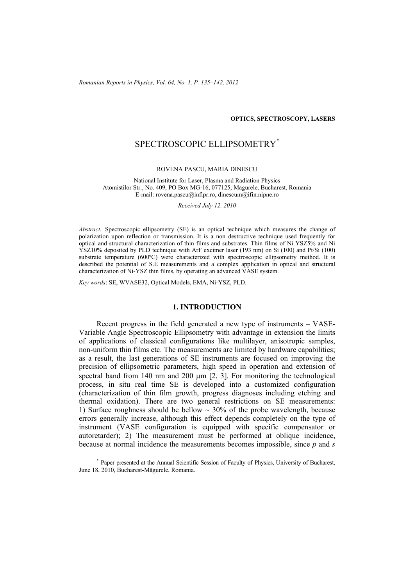*Romanian Reports in Physics, Vol. 64, No. 1, P. 135–142, 2012*

#### **OPTICS, SPECTROSCOPY, LASERS**

# SPECTROSCOPIC ELLIPSOMETRY\*

#### ROVENA PASCU, MARIA DINESCU

National Institute for Laser, Plasma and Radiation Physics Atomistilor Str., No. 409, PO Box MG-16, 077125, Magurele, Bucharest, Romania E-mail: rovena.pascu@inflpr.ro, dinescum@ifin.nipne.ro

*Received July 12, 2010* 

*Abstract.* Spectroscopic ellipsometry (SE) is an optical technique which measures the change of polarization upon reflection or transmission. It is a non destructive technique used frequently for optical and structural characterization of thin films and substrates. Thin films of Ni YSZ5% and Ni YSZ10% deposited by PLD technique with ArF excimer laser (193 nm) on Si (100) and Pt/Si (100) substrate temperature (600ºC) were characterized with spectroscopic ellipsometry method. It is described the potential of S.E measurements and a complex application in optical and structural characterization of Ni-YSZ thin films, by operating an advanced VASE system.

*Key words*: SE, WVASE32, Optical Models, EMA, Ni-YSZ, PLD.

#### **1. INTRODUCTION**

Recent progress in the field generated a new type of instruments – VASE-Variable Angle Spectroscopic Ellipsometry with advantage in extension the limits of applications of classical configurations like multilayer, anisotropic samples, non-uniform thin films etc. The measurements are limited by hardware capabilities; as a result, the last generations of SE instruments are focused on improving the precision of ellipsometric parameters, high speed in operation and extension of spectral band from  $140 \text{ nm}$  and  $200 \text{ µm}$   $[2, 3]$ . For monitoring the technological process, in situ real time SE is developed into a customized configuration (characterization of thin film growth, progress diagnoses including etching and thermal oxidation). There are two general restrictions on SE measurements: 1) Surface roughness should be bellow  $\sim$  30% of the probe wavelength, because errors generally increase, although this effect depends completely on the type of instrument (VASE configuration is equipped with specific compensator or autoretarder); 2) The measurement must be performed at oblique incidence, because at normal incidence the measurements becomes impossible, since *p* and *s*

\* Paper presented at the Annual Scientific Session of Faculty of Physics, University of Bucharest, June 18, 2010, Bucharest-Măgurele, Romania.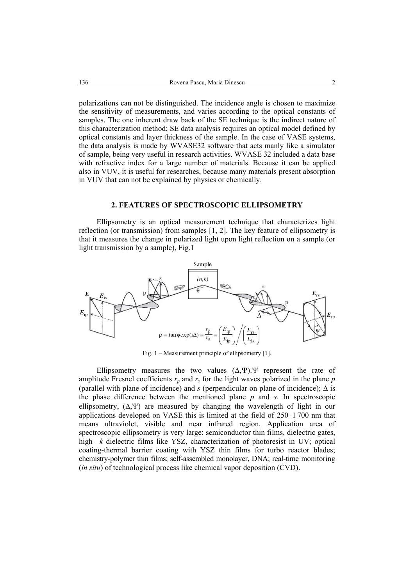polarizations can not be distinguished. The incidence angle is chosen to maximize the sensitivity of measurements, and varies according to the optical constants of samples. The one inherent draw back of the SE technique is the indirect nature of this characterization method; SE data analysis requires an optical model defined by optical constants and layer thickness of the sample. In the case of VASE systems, the data analysis is made by WVASE32 software that acts manly like a simulator of sample, being very useful in research activities. WVASE 32 included a data base with refractive index for a large number of materials. Because it can be applied also in VUV, it is useful for researches, because many materials present absorption in VUV that can not be explained by physics or chemically.

### **2. FEATURES OF SPECTROSCOPIC ELLIPSOMETRY**

Ellipsometry is an optical measurement technique that characterizes light reflection (or transmission) from samples [1, 2]. The key feature of ellipsometry is that it measures the change in polarized light upon light reflection on a sample (or light transmission by a sample), Fig.1



Fig. 1 – Measurement principle of ellipsometry [1].

Ellipsometry measures the two values  $(\Delta, \Psi)$ . Ψ represent the rate of amplitude Fresnel coefficients  $r_p$  and  $r_s$  for the light waves polarized in the plane  $p$ (parallel with plane of incidence) and *s* (perpendicular on plane of incidence); ∆ is the phase difference between the mentioned plane *p* and *s*. In spectroscopic ellipsometry,  $(∆, ∨)$  are measured by changing the wavelength of light in our applications developed on VASE this is limited at the field of 250–1 700 nm that means ultraviolet, visible and near infrared region. Application area of spectroscopic ellipsometry is very large: semiconductor thin films, dielectric gates, high –*k* dielectric films like YSZ, characterization of photoresist in UV; optical coating-thermal barrier coating with YSZ thin films for turbo reactor blades; chemistry-polymer thin films; self-assembled monolayer, DNA; real-time monitoring (*in situ*) of technological process like chemical vapor deposition (CVD).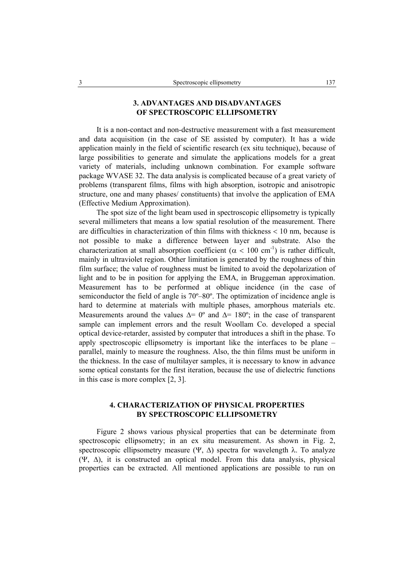## **3. ADVANTAGES AND DISADVANTAGES OF SPECTROSCOPIC ELLIPSOMETRY**

It is a non-contact and non-destructive measurement with a fast measurement and data acquisition (in the case of SE assisted by computer). It has a wide application mainly in the field of scientific research (ex situ technique), because of large possibilities to generate and simulate the applications models for a great variety of materials, including unknown combination. For example software package WVASE 32. The data analysis is complicated because of a great variety of problems (transparent films, films with high absorption, isotropic and anisotropic structure, one and many phases/ constituents) that involve the application of EMA (Effective Medium Approximation).

The spot size of the light beam used in spectroscopic ellipsometry is typically several millimeters that means a low spatial resolution of the measurement. There are difficulties in characterization of thin films with thickness < 10 nm, because is not possible to make a difference between layer and substrate. Also the characterization at small absorption coefficient ( $\alpha$  < 100 cm<sup>-1</sup>) is rather difficult, mainly in ultraviolet region. Other limitation is generated by the roughness of thin film surface; the value of roughness must be limited to avoid the depolarization of light and to be in position for applying the EMA, in Bruggeman approximation. Measurement has to be performed at oblique incidence (in the case of semiconductor the field of angle is 70º–80º. The optimization of incidence angle is hard to determine at materials with multiple phases, amorphous materials etc. Measurements around the values  $\Delta$ = 0° and  $\Delta$ = 180°; in the case of transparent sample can implement errors and the result Woollam Co. developed a special optical device-retarder, assisted by computer that introduces a shift in the phase. To apply spectroscopic ellipsometry is important like the interfaces to be plane – parallel, mainly to measure the roughness. Also, the thin films must be uniform in the thickness. In the case of multilayer samples, it is necessary to know in advance some optical constants for the first iteration, because the use of dielectric functions in this case is more complex [2, 3].

## **4. CHARACTERIZATION OF PHYSICAL PROPERTIES BY SPECTROSCOPIC ELLIPSOMETRY**

Figure 2 shows various physical properties that can be determinate from spectroscopic ellipsometry; in an ex situ measurement. As shown in Fig. 2, spectroscopic ellipsometry measure (Ψ, Δ) spectra for wavelength  $\lambda$ . To analyze (Ψ, ∆), it is constructed an optical model. From this data analysis, physical properties can be extracted. All mentioned applications are possible to run on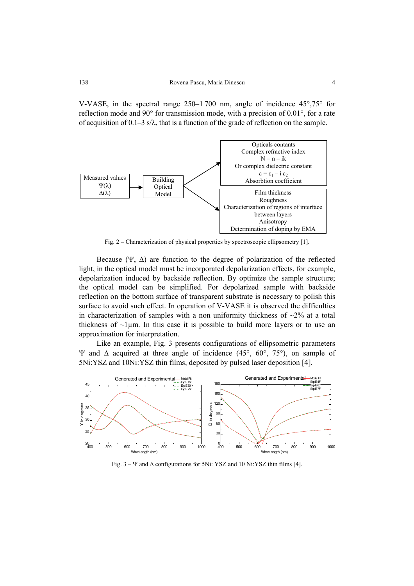V-VASE, in the spectral range 250–1 700 nm, angle of incidence 45°,75° for reflection mode and 90° for transmission mode, with a precision of 0.01°, for a rate of acquisition of  $0.1-3$  s/ $\lambda$ , that is a function of the grade of reflection on the sample.



Fig. 2 – Characterization of physical properties by spectroscopic ellipsometry [1].

Because (Ψ,  $\Delta$ ) are function to the degree of polarization of the reflected light, in the optical model must be incorporated depolarization effects, for example, depolarization induced by backside reflection. By optimize the sample structure; the optical model can be simplified. For depolarized sample with backside reflection on the bottom surface of transparent substrate is necessary to polish this surface to avoid such effect. In operation of V-VASE it is observed the difficulties in characterization of samples with a non uniformity thickness of  $\sim$ 2% at a total thickness of  $\sim$ 1µm. In this case it is possible to build more layers or to use an approximation for interpretation.

 Like an example, Fig. 3 presents configurations of ellipsometric parameters Ψ and ∆ acquired at three angle of incidence (45°, 60°, 75°), on sample of 5Ni:YSZ and 10Ni:YSZ thin films, deposited by pulsed laser deposition [4].



Fig.  $3 - \Psi$  and  $\Delta$  configurations for 5Ni: YSZ and 10 Ni:YSZ thin films [4].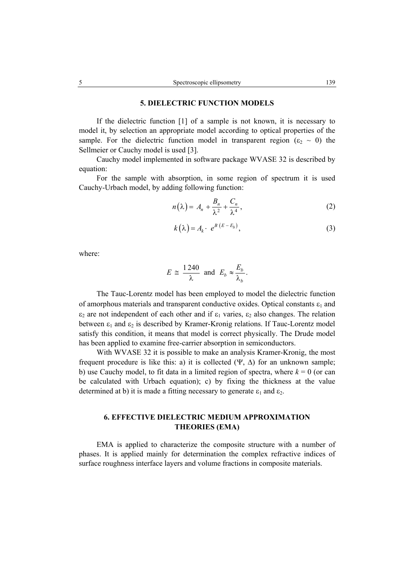### **5. DIELECTRIC FUNCTION MODELS**

If the dielectric function [1] of a sample is not known, it is necessary to model it, by selection an appropriate model according to optical properties of the sample. For the dielectric function model in transparent region ( $\varepsilon_2 \sim 0$ ) the Sellmeier or Cauchy model is used [3].

Cauchy model implemented in software package WVASE 32 is described by equation:

For the sample with absorption, in some region of spectrum it is used Cauchy-Urbach model, by adding following function:

$$
n(\lambda) = A_n + \frac{B_n}{\lambda^2} + \frac{C_n}{\lambda^4},
$$
\n(2)

$$
k(\lambda) = A_k \cdot e^{B(E - E_b)}, \tag{3}
$$

where:

$$
E \cong \frac{1240}{\lambda} \text{ and } E_b \approx \frac{E_b}{\lambda_b}.
$$

The Tauc-Lorentz model has been employed to model the dielectric function of amorphous materials and transparent conductive oxides. Optical constants  $\varepsilon_1$  and  $\varepsilon_2$  are not independent of each other and if  $\varepsilon_1$  varies,  $\varepsilon_2$  also changes. The relation between  $\varepsilon_1$  and  $\varepsilon_2$  is described by Kramer-Kronig relations. If Tauc-Lorentz model satisfy this condition, it means that model is correct physically. The Drude model has been applied to examine free-carrier absorption in semiconductors.

With WVASE 32 it is possible to make an analysis Kramer-Kronig, the most frequent procedure is like this: a) it is collected  $(\Psi, \Delta)$  for an unknown sample; b) use Cauchy model, to fit data in a limited region of spectra, where  $k = 0$  (or can be calculated with Urbach equation); c) by fixing the thickness at the value determined at b) it is made a fitting necessary to generate  $\varepsilon_1$  and  $\varepsilon_2$ .

## **6. EFFECTIVE DIELECTRIC MEDIUM APPROXIMATION THEORIES (EMA)**

EMA is applied to characterize the composite structure with a number of phases. It is applied mainly for determination the complex refractive indices of surface roughness interface layers and volume fractions in composite materials.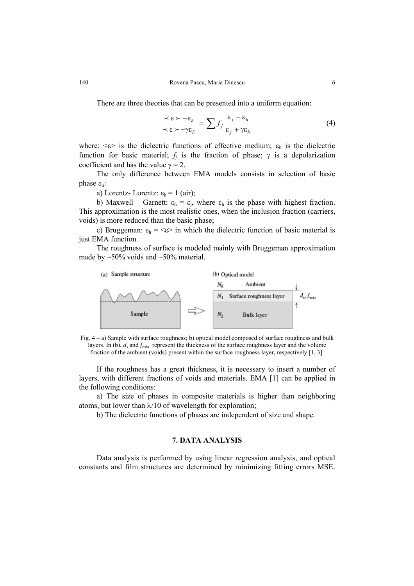There are three theories that can be presented into a uniform equation:

$$
\frac{\prec \varepsilon \succ -\varepsilon_h}{\prec \varepsilon \succ +\gamma \varepsilon_h} = \sum f_j \frac{\varepsilon_j - \varepsilon_h}{\varepsilon_j + \gamma \varepsilon_h}
$$
(4)

where:  $\langle \epsilon \rangle$  is the dielectric functions of effective medium;  $\varepsilon_h$  is the dielectric function for basic material;  $f_i$  is the fraction of phase;  $\gamma$  is a depolarization coefficient and has the value  $\gamma = 2$ .

The only difference between EMA models consists in selection of basic phase  $ε_h$ :

a) Lorentz- Lorentz:  $\varepsilon_h = 1$  (air);

b) Maxwell – Garnett:  $\varepsilon_h = \varepsilon_i$ , where  $\varepsilon_h$  is the phase with highest fraction. This approximation is the most realistic ones, when the inclusion fraction (carriers, voids) is more reduced than the basic phase;

c) Bruggeman:  $\varepsilon_h = \langle \varepsilon \rangle$  in which the dielectric function of basic material is just EMA function.

The roughness of surface is modeled mainly with Bruggeman approximation made by  $\sim$  50% voids and  $\sim$  50% material.





If the roughness has a great thickness, it is necessary to insert a number of layers, with different fractions of voids and materials. EMA [1] can be applied in the following conditions:

a) The size of phases in composite materials is higher than neighboring atoms, but lower than  $\lambda/10$  of wavelength for exploration;

b) The dielectric functions of phases are independent of size and shape.

### **7. DATA ANALYSIS**

Data analysis is performed by using linear regression analysis, and optical constants and film structures are determined by minimizing fitting errors MSE.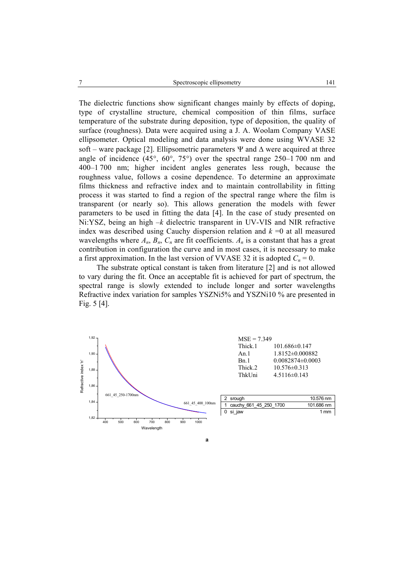The dielectric functions show significant changes mainly by effects of doping, type of crystalline structure, chemical composition of thin films, surface temperature of the substrate during deposition, type of deposition, the quality of surface (roughness). Data were acquired using a J. A. Woolam Company VASE ellipsometer. Optical modeling and data analysis were done using WVASE 32 soft – ware package [2]. Ellipsometric parameters  $\Psi$  and  $\Delta$  were acquired at three angle of incidence (45°, 60°, 75°) over the spectral range 250–1 700 nm and 400–1 700 nm; higher incident angles generates less rough, because the roughness value, follows a cosine dependence. To determine an approximate films thickness and refractive index and to maintain controllability in fitting process it was started to find a region of the spectral range where the film is transparent (or nearly so). This allows generation the models with fewer parameters to be used in fitting the data [4]. In the case of study presented on Ni:YSZ, being an high –*k* dielectric transparent in UV-VIS and NIR refractive index was described using Cauchy dispersion relation and  $k = 0$  at all measured wavelengths where  $A_n$ ,  $B_n$ ,  $C_n$  are fit coefficients.  $A_n$  is a constant that has a great contribution in configuration the curve and in most cases, it is necessary to make a first approximation. In the last version of VVASE 32 it is adopted  $C_n = 0$ .

The substrate optical constant is taken from literature [2] and is not allowed to vary during the fit. Once an acceptable fit is achieved for part of spectrum, the spectral range is slowly extended to include longer and sorter wavelengths Refractive index variation for samples YSZNi5% and YSZNi10 % are presented in Fig. 5 [4].



**a**